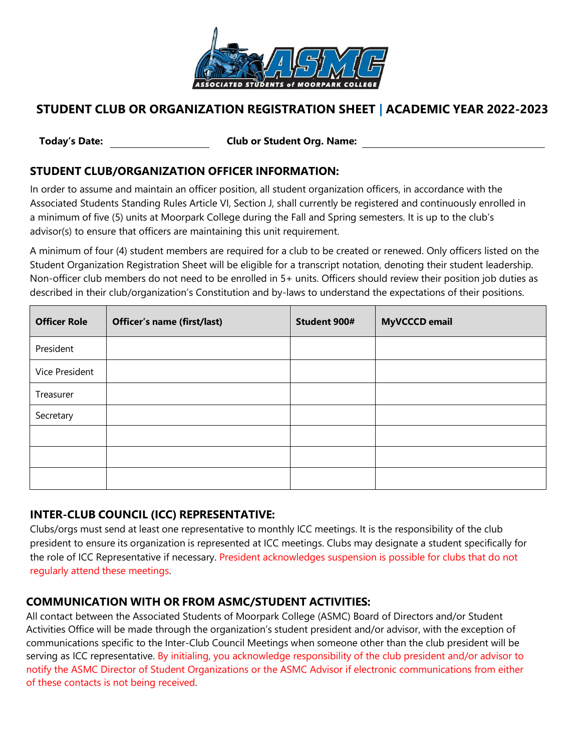

## **STUDENT CLUB OR ORGANIZATION REGISTRATION SHEET | ACADEMIC YEAR 2022-2023**

**Today's Date: Club or Student Org. Name:**

#### **STUDENT CLUB/ORGANIZATION OFFICER INFORMATION:**

In order to assume and maintain an officer position, all student organization officers, in accordance with the Associated Students Standing Rules Article VI, Section J, shall currently be registered and continuously enrolled in a minimum of five (5) units at Moorpark College during the Fall and Spring semesters. It is up to the club's advisor(s) to ensure that officers are maintaining this unit requirement.

A minimum of four (4) student members are required for a club to be created or renewed. Only officers listed on the Student Organization Registration Sheet will be eligible for a transcript notation, denoting their student leadership. Non-officer club members do not need to be enrolled in 5+ units. Officers should review their position job duties as described in their club/organization's Constitution and by-laws to understand the expectations of their positions.

| <b>Officer Role</b> | <b>Officer's name (first/last)</b> | Student 900# | <b>MyVCCCD</b> email |
|---------------------|------------------------------------|--------------|----------------------|
| President           |                                    |              |                      |
| Vice President      |                                    |              |                      |
| Treasurer           |                                    |              |                      |
| Secretary           |                                    |              |                      |
|                     |                                    |              |                      |
|                     |                                    |              |                      |
|                     |                                    |              |                      |

### **INTER-CLUB COUNCIL (ICC) REPRESENTATIVE:**

Clubs/orgs must send at least one representative to monthly ICC meetings. It is the responsibility of the club president to ensure its organization is represented at ICC meetings. Clubs may designate a student specifically for the role of ICC Representative if necessary. President acknowledges suspension is possible for clubs that do not regularly attend these meetings.

### **COMMUNICATION WITH OR FROM ASMC/STUDENT ACTIVITIES:**

All contact between the Associated Students of Moorpark College (ASMC) Board of Directors and/or Student Activities Office will be made through the organization's student president and/or advisor, with the exception of communications specific to the Inter-Club Council Meetings when someone other than the club president will be serving as ICC representative. By initialing, you acknowledge responsibility of the club president and/or advisor to notify the ASMC Director of Student Organizations or the ASMC Advisor if electronic communications from either of these contacts is not being received.